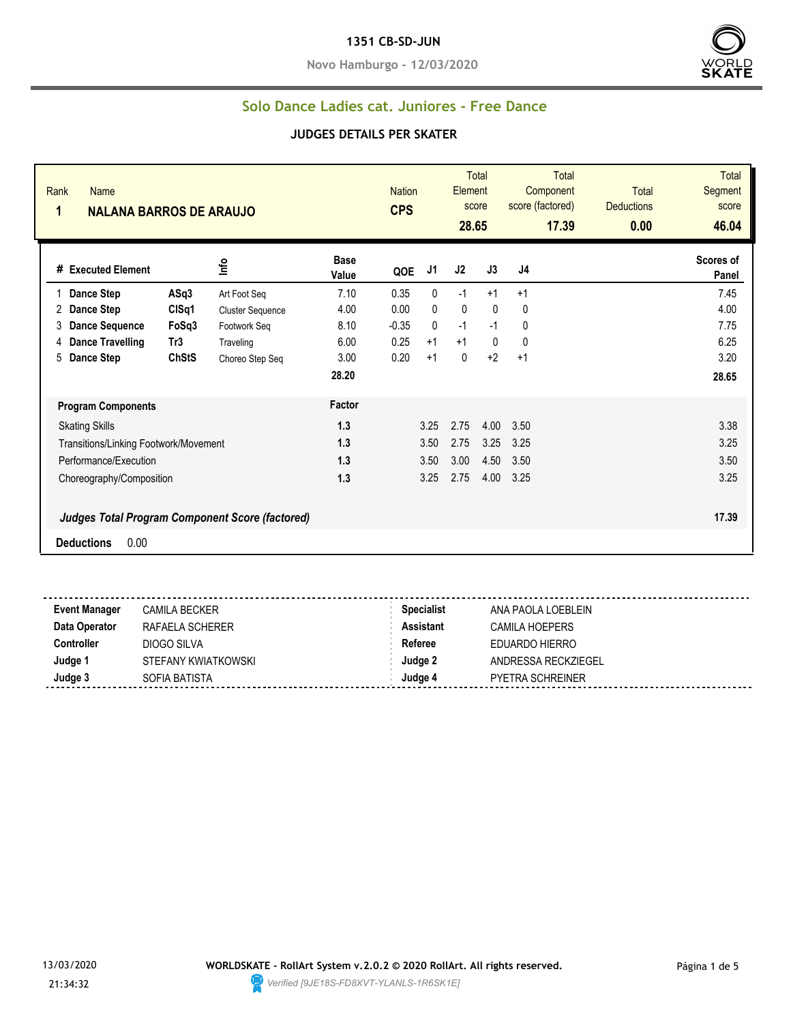#### **1351 CB-SD-JUN**

**Novo Hamburgo - 12/03/2020**



#### **Solo Dance Ladies cat. Juniores - Free Dance**

| Rank<br><b>Name</b><br>1<br><b>NALANA BARROS DE ARAUJO</b> |              |                                                        |                      | <b>Nation</b><br><b>CPS</b> |                | Element<br>28.65 | <b>Total</b><br>score | <b>Total</b><br>Component<br>score (factored)<br>17.39 | <b>Total</b><br><b>Deductions</b><br>0.00 | <b>Total</b><br>Segment<br>score<br>46.04 |
|------------------------------------------------------------|--------------|--------------------------------------------------------|----------------------|-----------------------------|----------------|------------------|-----------------------|--------------------------------------------------------|-------------------------------------------|-------------------------------------------|
| # Executed Element                                         |              | Info                                                   | <b>Base</b><br>Value | QOE                         | J <sub>1</sub> | J2               | J3                    | J4                                                     |                                           | Scores of<br>Panel                        |
| Dance Step                                                 | ASq3         | Art Foot Seq                                           | 7.10                 | 0.35                        | $\mathbf{0}$   | $-1$             | $+1$                  | $+1$                                                   |                                           | 7.45                                      |
| <b>Dance Step</b><br>2                                     | CISq1        | <b>Cluster Sequence</b>                                | 4.00                 | 0.00                        | $\mathbf{0}$   | $\mathbf{0}$     | $\mathbf{0}$          | 0                                                      |                                           | 4.00                                      |
| <b>Dance Sequence</b><br>3                                 | FoSq3        | Footwork Seq                                           | 8.10                 | $-0.35$                     | $\mathbf{0}$   | $-1$             | $-1$                  | 0                                                      |                                           | 7.75                                      |
| <b>Dance Travelling</b><br>4                               | Tr3          | Traveling                                              | 6.00                 | 0.25                        | $+1$           | $+1$             | $\mathbf{0}$          | $\mathbf{0}$                                           |                                           | 6.25                                      |
| Dance Step<br>5                                            | <b>ChStS</b> | Choreo Step Seq                                        | 3.00                 | 0.20                        | $+1$           | 0                | $+2$                  | $+1$                                                   |                                           | 3.20                                      |
|                                                            |              |                                                        | 28.20                |                             |                |                  |                       |                                                        |                                           | 28.65                                     |
| <b>Program Components</b>                                  |              |                                                        | Factor               |                             |                |                  |                       |                                                        |                                           |                                           |
| <b>Skating Skills</b>                                      |              |                                                        | 1.3                  |                             | 3.25           | 2.75             | 4.00                  | 3.50                                                   |                                           | 3.38                                      |
| Transitions/Linking Footwork/Movement                      |              |                                                        | 1.3                  |                             | 3.50           | 2.75             | 3.25                  | 3.25                                                   |                                           | 3.25                                      |
| Performance/Execution                                      |              |                                                        | 1.3                  |                             | 3.50           | 3.00             | 4.50                  | 3.50                                                   |                                           | 3.50                                      |
| Choreography/Composition                                   |              |                                                        | 1.3                  |                             | 3.25           | 2.75             | 4.00                  | 3.25                                                   |                                           | 3.25                                      |
|                                                            |              | <b>Judges Total Program Component Score (factored)</b> |                      |                             |                |                  |                       |                                                        |                                           | 17.39                                     |
| 0.00<br><b>Deductions</b>                                  |              |                                                        |                      |                             |                |                  |                       |                                                        |                                           |                                           |
|                                                            |              |                                                        |                      |                             |                |                  |                       |                                                        |                                           |                                           |

| <b>Event Manager</b> | <b>CAMILA BECKER</b> | <b>Specialist</b> | ANA PAOLA LOEBLEIN      |
|----------------------|----------------------|-------------------|-------------------------|
| Data Operator        | RAFAELA SCHERER      | <b>Assistant</b>  | CAMILA HOEPERS          |
| <b>Controller</b>    | DIOGO SILVA          | Referee           | EDUARDO HIERRO          |
| Judge 1              | STEFANY KWIATKOWSKI  | Judge 2           | ANDRESSA RECKZIEGEL     |
| Judge 3              | SOFIA BATISTA        | Judge 4           | <b>PYETRA SCHREINER</b> |
|                      |                      |                   |                         |

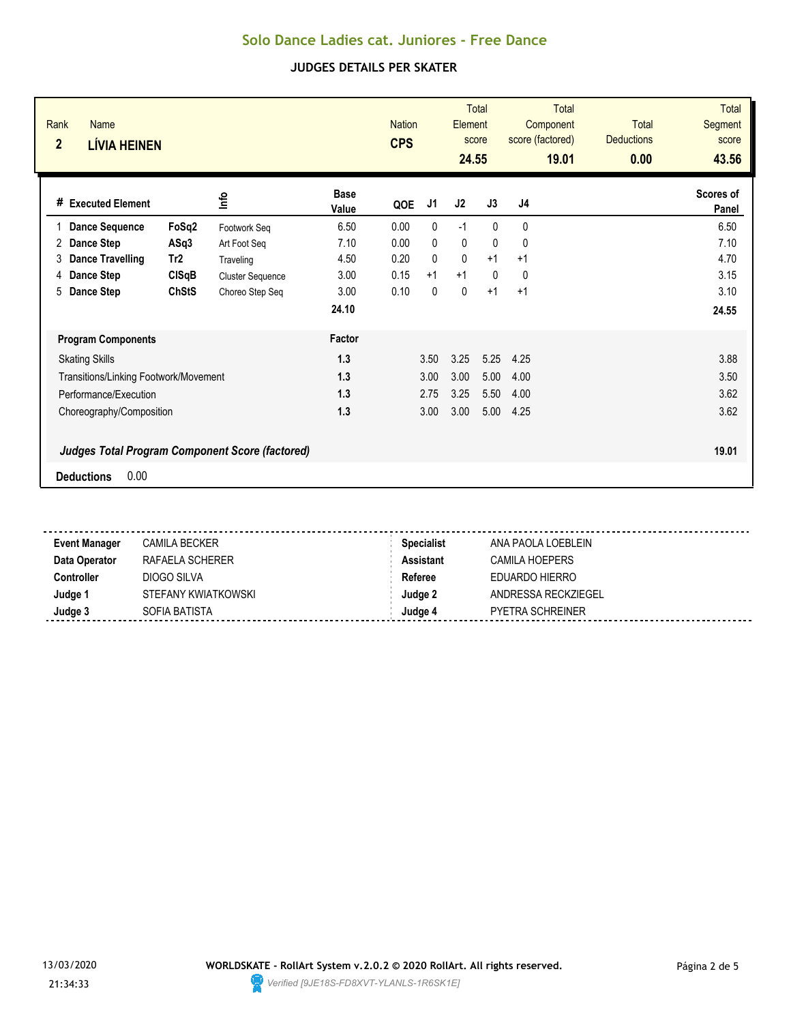| Rank<br><b>Name</b><br>$\overline{2}$<br><b>LÍVIA HEINEN</b>                        |                 |                         |                      | <b>Nation</b><br><b>CPS</b> |              | Element<br>24.55 | <b>Total</b><br>score | <b>Total</b><br>Component<br>score (factored)<br>19.01 | <b>Total</b><br><b>Deductions</b><br>0.00 | <b>Total</b><br>Segment<br>score<br>43.56 |
|-------------------------------------------------------------------------------------|-----------------|-------------------------|----------------------|-----------------------------|--------------|------------------|-----------------------|--------------------------------------------------------|-------------------------------------------|-------------------------------------------|
| <b>Executed Element</b><br>#                                                        |                 | lnfo                    | <b>Base</b><br>Value | QOE                         | J1           | J2               | J3                    | J4                                                     |                                           | Scores of<br>Panel                        |
| <b>Dance Sequence</b>                                                               | FoSq2           | Footwork Seg            | 6.50                 | 0.00                        | 0            | $-1$             | $\mathbf{0}$          | 0                                                      |                                           | 6.50                                      |
| Dance Step<br>2                                                                     | ASq3            | Art Foot Seg            | 7.10                 | 0.00                        | 0            | 0                | $\Omega$              | 0                                                      |                                           | 7.10                                      |
| <b>Dance Travelling</b><br>3                                                        | Tr <sub>2</sub> | Traveling               | 4.50                 | 0.20                        | 0            | $\mathbf{0}$     | $+1$                  | $+1$                                                   |                                           | 4.70                                      |
| Dance Step<br>4                                                                     | <b>CISqB</b>    | <b>Cluster Sequence</b> | 3.00                 | 0.15                        | $+1$         | $+1$             | $\Omega$              | 0                                                      |                                           | 3.15                                      |
| 5<br>Dance Step                                                                     | <b>ChStS</b>    | Choreo Step Seq         | 3.00                 | 0.10                        | $\mathbf{0}$ | 0                | $+1$                  | $+1$                                                   |                                           | 3.10                                      |
|                                                                                     |                 |                         | 24.10                |                             |              |                  |                       |                                                        |                                           | 24.55                                     |
| <b>Program Components</b>                                                           |                 |                         | Factor               |                             |              |                  |                       |                                                        |                                           |                                           |
| <b>Skating Skills</b>                                                               |                 |                         | 1.3                  |                             | 3.50         | 3.25             | 5.25                  | 4.25                                                   |                                           | 3.88                                      |
| Transitions/Linking Footwork/Movement                                               |                 |                         | 1.3                  |                             | 3.00         | 3.00             | 5.00                  | 4.00                                                   |                                           | 3.50                                      |
| Performance/Execution                                                               |                 |                         | 1.3                  |                             | 2.75         | 3.25             | 5.50                  | 4.00                                                   |                                           | 3.62                                      |
| Choreography/Composition                                                            |                 |                         | 1.3                  |                             | 3.00         | 3.00             | 5.00                  | 4.25                                                   |                                           | 3.62                                      |
| <b>Judges Total Program Component Score (factored)</b><br>0.00<br><b>Deductions</b> |                 |                         |                      |                             |              |                  |                       |                                                        |                                           | 19.01                                     |

| <b>Event Manager</b> | <b>CAMILA BECKER</b> | <b>Specialist</b> | ANA PAOLA LOEBLEIN  |
|----------------------|----------------------|-------------------|---------------------|
| Data Operator        | RAFAELA SCHERER      | <b>Assistant</b>  | CAMILA HOEPERS      |
| Controller           | DIOGO SILVA          | Referee           | EDUARDO HIERRO      |
| Judge 1              | STEFANY KWIATKOWSKI  | Judge 2           | ANDRESSA RECKZIEGEL |
| Judge 3              | SOFIA BATISTA        | Judge 4           | PYETRA SCHREINER    |

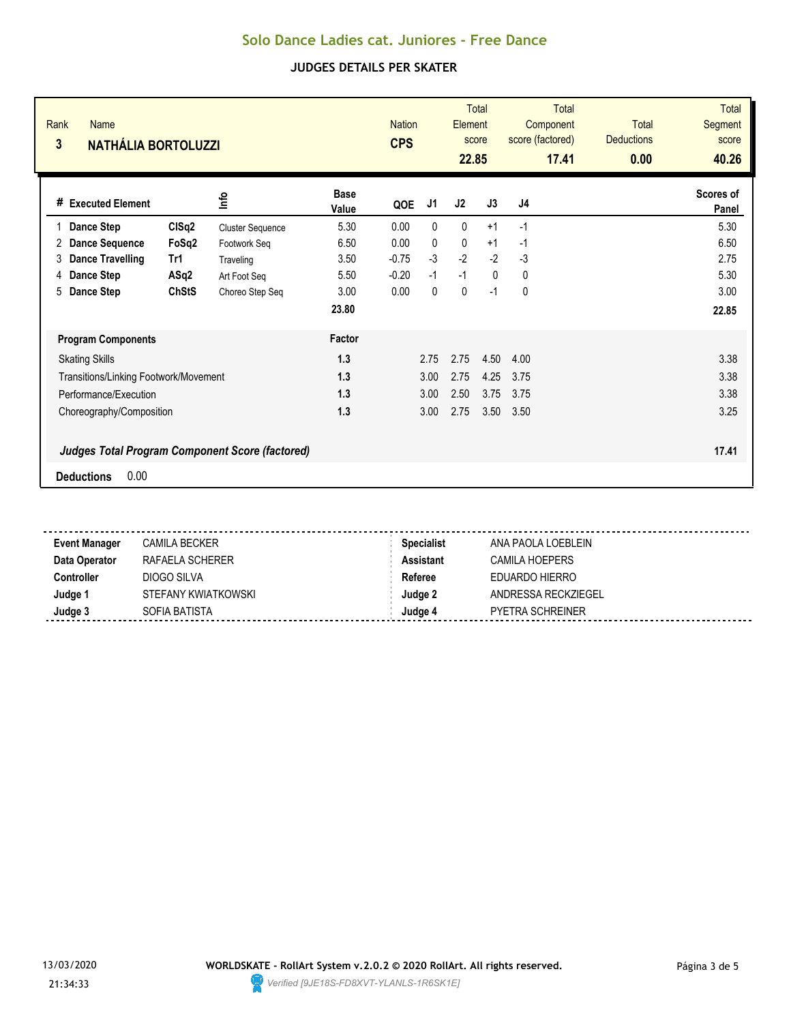| Rank<br>Name<br>3<br><b>NATHÁLIA BORTOLUZZI</b>                                     |              |                         |                      | <b>Nation</b><br><b>CPS</b> |      | <b>Element</b><br>22.85 | <b>Total</b><br>score | <b>Total</b><br>Component<br>score (factored)<br>17.41 | <b>Total</b><br><b>Deductions</b><br>0.00 | <b>Total</b><br>Segment<br>score<br>40.26 |
|-------------------------------------------------------------------------------------|--------------|-------------------------|----------------------|-----------------------------|------|-------------------------|-----------------------|--------------------------------------------------------|-------------------------------------------|-------------------------------------------|
| <b>Executed Element</b><br>#                                                        |              | lnfo                    | <b>Base</b><br>Value | QOE                         | J1   | J2                      | J3                    | J4                                                     |                                           | Scores of<br>Panel                        |
| Dance Step                                                                          | CISq2        | <b>Cluster Sequence</b> | 5.30                 | 0.00                        | 0    | $\mathbf{0}$            | $+1$                  | $-1$                                                   |                                           | 5.30                                      |
| <b>Dance Sequence</b><br>2                                                          | FoSq2        | Footwork Seg            | 6.50                 | 0.00                        | 0    | $\mathbf{0}$            | $+1$                  | -1                                                     |                                           | 6.50                                      |
| <b>Dance Travelling</b><br>3                                                        | Tr1          | Traveling               | 3.50                 | $-0.75$                     | $-3$ | $-2$                    | $-2$                  | $-3$                                                   |                                           | 2.75                                      |
| Dance Step<br>4                                                                     | ASq2         | Art Foot Seg            | 5.50                 | $-0.20$                     | $-1$ | $-1$                    | $\mathbf{0}$          | 0                                                      |                                           | 5.30                                      |
| Dance Step<br>5                                                                     | <b>ChStS</b> | Choreo Step Seq         | 3.00                 | 0.00                        | 0    | 0                       | $-1$                  | 0                                                      |                                           | 3.00                                      |
|                                                                                     |              |                         | 23.80                |                             |      |                         |                       |                                                        |                                           | 22.85                                     |
| <b>Program Components</b>                                                           |              |                         | Factor               |                             |      |                         |                       |                                                        |                                           |                                           |
| <b>Skating Skills</b>                                                               |              |                         | 1.3                  |                             | 2.75 | 2.75                    | 4.50                  | 4.00                                                   |                                           | 3.38                                      |
| Transitions/Linking Footwork/Movement                                               |              |                         | 1.3                  |                             | 3.00 | 2.75                    | 4.25                  | 3.75                                                   |                                           | 3.38                                      |
| Performance/Execution                                                               |              |                         | 1.3                  |                             | 3.00 | 2.50                    | 3.75                  | 3.75                                                   |                                           | 3.38                                      |
| Choreography/Composition                                                            |              |                         | 1.3                  |                             | 3.00 | 2.75                    | 3.50                  | 3.50                                                   |                                           | 3.25                                      |
| <b>Judges Total Program Component Score (factored)</b><br>0.00<br><b>Deductions</b> |              |                         |                      |                             |      |                         |                       |                                                        |                                           | 17.41                                     |

| <b>Event Manager</b> | <b>CAMILA BECKER</b> | <b>Specialist</b> | ANA PAOLA LOEBLEIN      |
|----------------------|----------------------|-------------------|-------------------------|
| Data Operator        | RAFAELA SCHERER      | <b>Assistant</b>  | CAMILA HOEPERS          |
| Controller           | DIOGO SILVA          | Referee           | EDUARDO HIERRO          |
| Judge 1              | STEFANY KWIATKOWSKI  | Judge 2           | ANDRESSA RECKZIEGEL     |
| Judge 3              | SOFIA BATISTA        | Judae 4           | <b>PYETRA SCHREINER</b> |

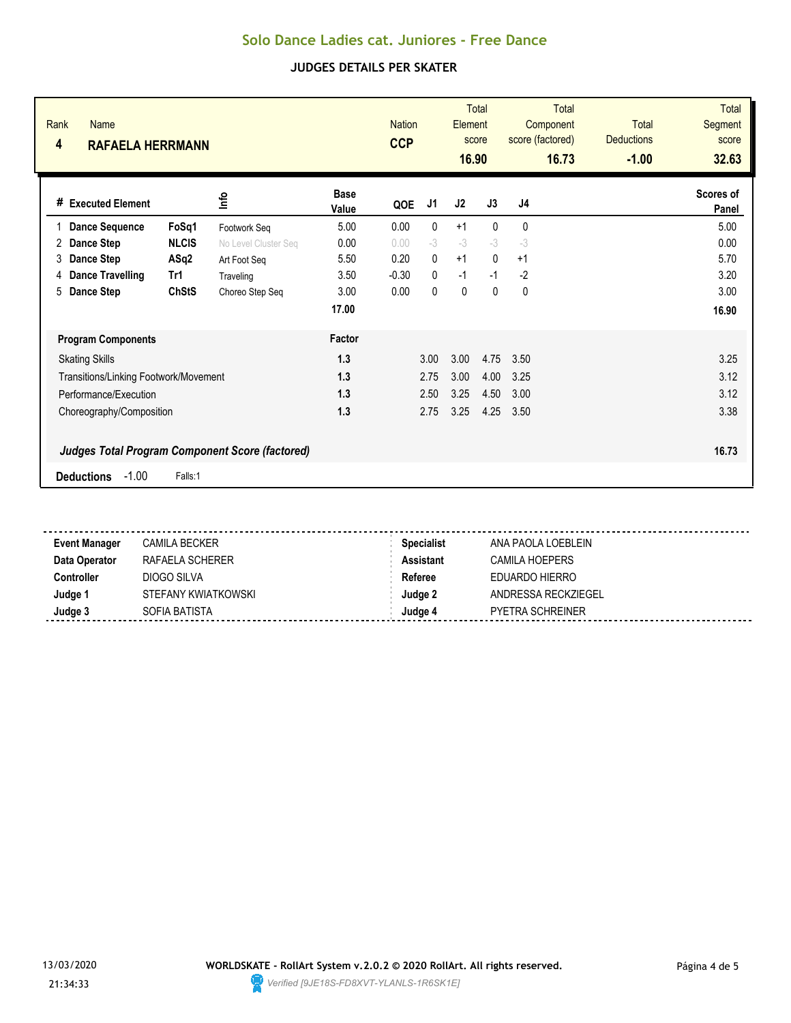| Rank<br><b>Name</b><br>4<br><b>RAFAELA HERRMANN</b> |              |                                                        |                      | <b>Nation</b><br><b>CCP</b> |              | Element<br>16.90 | <b>Total</b><br>score | <b>Total</b><br>Component<br>score (factored)<br>16.73 | <b>Total</b><br><b>Deductions</b><br>$-1.00$ | <b>Total</b><br>Segment<br>score<br>32.63 |
|-----------------------------------------------------|--------------|--------------------------------------------------------|----------------------|-----------------------------|--------------|------------------|-----------------------|--------------------------------------------------------|----------------------------------------------|-------------------------------------------|
| # Executed Element                                  |              | ۴ů                                                     | <b>Base</b><br>Value | QOE                         | J1           | J2               | J3                    | J4                                                     |                                              | Scores of<br>Panel                        |
| <b>Dance Sequence</b>                               | FoSq1        | Footwork Seq                                           | 5.00                 | 0.00                        | $\mathbf{0}$ | $+1$             | $\mathbf{0}$          | 0                                                      |                                              | 5.00                                      |
| Dance Step<br>2                                     | <b>NLCIS</b> | No Level Cluster Seq                                   | 0.00                 | 0.00                        | $-3$         | $-3$             | $-3$                  | $-3$                                                   |                                              | 0.00                                      |
| Dance Step<br>3                                     | ASq2         | Art Foot Seq                                           | 5.50                 | 0.20                        | $\mathbf{0}$ | $+1$             | $\mathbf{0}$          | $+1$                                                   |                                              | 5.70                                      |
| <b>Dance Travelling</b><br>4                        | Tr1          | Traveling                                              | 3.50                 | $-0.30$                     | $\mathbf{0}$ | $-1$             | $-1$                  | $-2$                                                   |                                              | 3.20                                      |
| Dance Step<br>5                                     | <b>ChStS</b> | Choreo Step Seq                                        | 3.00                 | 0.00                        | $\mathbf{0}$ | $\mathbf{0}$     | $\mathbf{0}$          | $\mathbf{0}$                                           |                                              | 3.00                                      |
|                                                     |              |                                                        | 17.00                |                             |              |                  |                       |                                                        |                                              | 16.90                                     |
| <b>Program Components</b>                           |              |                                                        | Factor               |                             |              |                  |                       |                                                        |                                              |                                           |
| <b>Skating Skills</b>                               |              |                                                        | 1.3                  |                             | 3.00         | 3.00             | 4.75                  | 3.50                                                   |                                              | 3.25                                      |
| Transitions/Linking Footwork/Movement               |              |                                                        | 1.3                  |                             | 2.75         | 3.00             | 4.00                  | 3.25                                                   |                                              | 3.12                                      |
| Performance/Execution                               |              |                                                        | 1.3                  |                             | 2.50         | 3.25             | 4.50                  | 3.00                                                   |                                              | 3.12                                      |
| Choreography/Composition                            |              |                                                        | 1.3                  |                             | 2.75         | 3.25             | 4.25                  | 3.50                                                   |                                              | 3.38                                      |
| $-1.00$<br><b>Deductions</b>                        | Falls:1      | <b>Judges Total Program Component Score (factored)</b> |                      |                             |              |                  |                       |                                                        |                                              | 16.73                                     |

| <b>Event Manager</b> | <b>CAMILA BECKER</b> | <b>Specialist</b> | ANA PAOLA LOEBLEIN  |
|----------------------|----------------------|-------------------|---------------------|
| Data Operator        | RAFAELA SCHERER      | Assistant         | CAMILA HOEPERS      |
| Controller           | DIOGO SILVA          | Referee           | EDUARDO HIERRO      |
| Judge 1              | STEFANY KWIATKOWSKI  | Judge 2           | ANDRESSA RECKZIEGEL |
| Judge 3              | SOFIA BATISTA        | Judge 4           | PYETRA SCHREINER    |